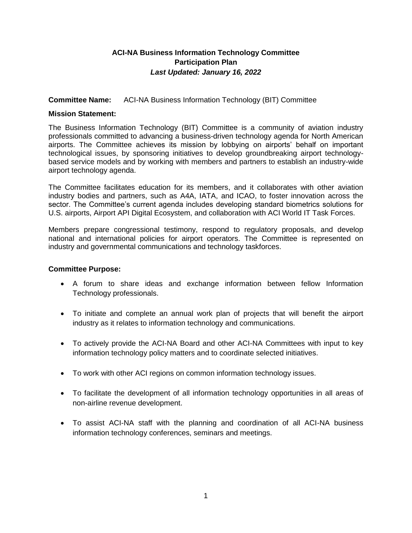# **ACI-NA Business Information Technology Committee Participation Plan** *Last Updated: January 16, 2022*

### **Committee Name:** ACI-NA Business Information Technology (BIT) Committee

### **Mission Statement:**

The Business Information Technology (BIT) Committee is a community of aviation industry professionals committed to advancing a business-driven technology agenda for North American airports. The Committee achieves its mission by lobbying on airports' behalf on important technological issues, by sponsoring initiatives to develop groundbreaking airport technologybased service models and by working with members and partners to establish an industry-wide airport technology agenda.

The Committee facilitates education for its members, and it collaborates with other aviation industry bodies and partners, such as A4A, IATA, and ICAO, to foster innovation across the sector. The Committee's current agenda includes developing standard biometrics solutions for U.S. airports, Airport API Digital Ecosystem, and collaboration with ACI World IT Task Forces.

Members prepare congressional testimony, respond to regulatory proposals, and develop national and international policies for airport operators. The Committee is represented on industry and governmental communications and technology taskforces.

### **Committee Purpose:**

- A forum to share ideas and exchange information between fellow Information Technology professionals.
- To initiate and complete an annual work plan of projects that will benefit the airport industry as it relates to information technology and communications.
- To actively provide the ACI-NA Board and other ACI-NA Committees with input to key information technology policy matters and to coordinate selected initiatives.
- To work with other ACI regions on common information technology issues.
- To facilitate the development of all information technology opportunities in all areas of non-airline revenue development.
- To assist ACI-NA staff with the planning and coordination of all ACI-NA business information technology conferences, seminars and meetings.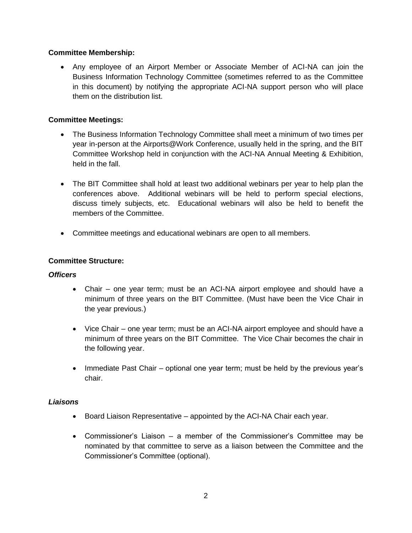## **Committee Membership:**

 Any employee of an Airport Member or Associate Member of ACI-NA can join the Business Information Technology Committee (sometimes referred to as the Committee in this document) by notifying the appropriate ACI-NA support person who will place them on the distribution list.

# **Committee Meetings:**

- The Business Information Technology Committee shall meet a minimum of two times per year in-person at the Airports@Work Conference, usually held in the spring, and the BIT Committee Workshop held in conjunction with the ACI-NA Annual Meeting & Exhibition, held in the fall.
- The BIT Committee shall hold at least two additional webinars per year to help plan the conferences above. Additional webinars will be held to perform special elections, discuss timely subjects, etc. Educational webinars will also be held to benefit the members of the Committee.
- Committee meetings and educational webinars are open to all members.

### **Committee Structure:**

### *Officers*

- Chair one year term; must be an ACI-NA airport employee and should have a minimum of three years on the BIT Committee. (Must have been the Vice Chair in the year previous.)
- Vice Chair one year term; must be an ACI-NA airport employee and should have a minimum of three years on the BIT Committee. The Vice Chair becomes the chair in the following year.
- Immediate Past Chair optional one year term; must be held by the previous year's chair.

#### *Liaisons*

- Board Liaison Representative appointed by the ACI-NA Chair each year.
- Commissioner's Liaison a member of the Commissioner's Committee may be nominated by that committee to serve as a liaison between the Committee and the Commissioner's Committee (optional).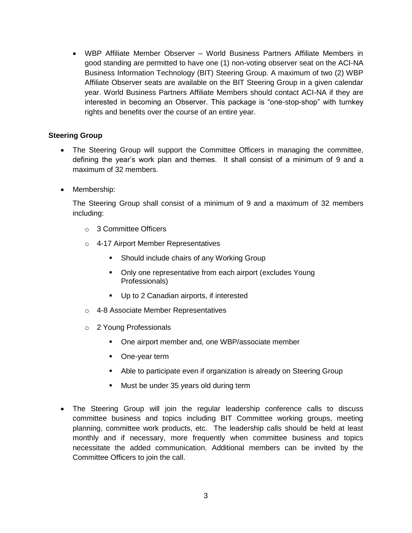WBP Affiliate Member Observer – World Business Partners Affiliate Members in good standing are permitted to have one (1) non-voting observer seat on the ACI-NA Business Information Technology (BIT) Steering Group. A maximum of two (2) WBP Affiliate Observer seats are available on the BIT Steering Group in a given calendar year. World Business Partners Affiliate Members should contact ACI-NA if they are interested in becoming an Observer. This package is "one-stop-shop" with turnkey rights and benefits over the course of an entire year.

### **Steering Group**

- The Steering Group will support the Committee Officers in managing the committee, defining the year's work plan and themes. It shall consist of a minimum of 9 and a maximum of 32 members.
- Membership:

The Steering Group shall consist of a minimum of 9 and a maximum of 32 members including:

- o 3 Committee Officers
- o 4-17 Airport Member Representatives
	- **Should include chairs of any Working Group**
	- Only one representative from each airport (excludes Young Professionals)
	- Up to 2 Canadian airports, if interested
- o 4-8 Associate Member Representatives
- o 2 Young Professionals
	- One airport member and, one WBP/associate member
	- One-year term
	- Able to participate even if organization is already on Steering Group
	- Must be under 35 years old during term
- The Steering Group will join the regular leadership conference calls to discuss committee business and topics including BIT Committee working groups, meeting planning, committee work products, etc. The leadership calls should be held at least monthly and if necessary, more frequently when committee business and topics necessitate the added communication. Additional members can be invited by the Committee Officers to join the call.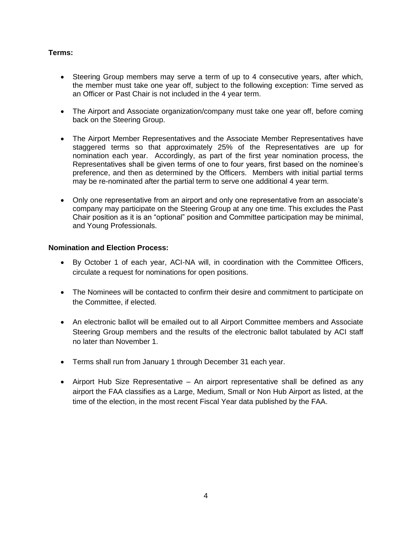# **Terms:**

- Steering Group members may serve a term of up to 4 consecutive years, after which, the member must take one year off, subject to the following exception: Time served as an Officer or Past Chair is not included in the 4 year term.
- The Airport and Associate organization/company must take one year off, before coming back on the Steering Group.
- The Airport Member Representatives and the Associate Member Representatives have staggered terms so that approximately 25% of the Representatives are up for nomination each year. Accordingly, as part of the first year nomination process, the Representatives shall be given terms of one to four years, first based on the nominee's preference, and then as determined by the Officers. Members with initial partial terms may be re-nominated after the partial term to serve one additional 4 year term.
- Only one representative from an airport and only one representative from an associate's company may participate on the Steering Group at any one time. This excludes the Past Chair position as it is an "optional" position and Committee participation may be minimal, and Young Professionals.

#### **Nomination and Election Process:**

- By October 1 of each year, ACI-NA will, in coordination with the Committee Officers, circulate a request for nominations for open positions.
- The Nominees will be contacted to confirm their desire and commitment to participate on the Committee, if elected.
- An electronic ballot will be emailed out to all Airport Committee members and Associate Steering Group members and the results of the electronic ballot tabulated by ACI staff no later than November 1.
- Terms shall run from January 1 through December 31 each year.
- Airport Hub Size Representative An airport representative shall be defined as any airport the FAA classifies as a Large, Medium, Small or Non Hub Airport as listed, at the time of the election, in the most recent Fiscal Year data published by the FAA.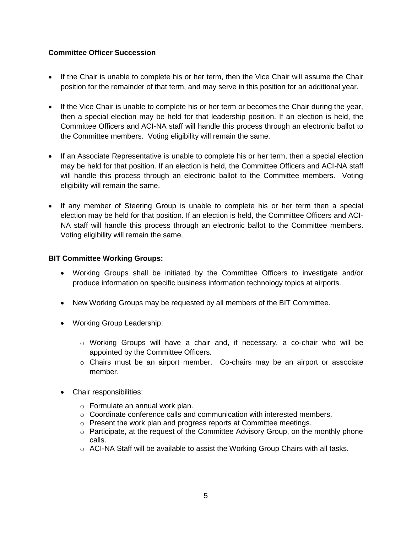# **Committee Officer Succession**

- If the Chair is unable to complete his or her term, then the Vice Chair will assume the Chair position for the remainder of that term, and may serve in this position for an additional year.
- If the Vice Chair is unable to complete his or her term or becomes the Chair during the year, then a special election may be held for that leadership position. If an election is held, the Committee Officers and ACI-NA staff will handle this process through an electronic ballot to the Committee members. Voting eligibility will remain the same.
- If an Associate Representative is unable to complete his or her term, then a special election may be held for that position. If an election is held, the Committee Officers and ACI-NA staff will handle this process through an electronic ballot to the Committee members. Voting eligibility will remain the same.
- If any member of Steering Group is unable to complete his or her term then a special election may be held for that position. If an election is held, the Committee Officers and ACI-NA staff will handle this process through an electronic ballot to the Committee members. Voting eligibility will remain the same.

# **BIT Committee Working Groups:**

- Working Groups shall be initiated by the Committee Officers to investigate and/or produce information on specific business information technology topics at airports.
- New Working Groups may be requested by all members of the BIT Committee.
- Working Group Leadership:
	- o Working Groups will have a chair and, if necessary, a co-chair who will be appointed by the Committee Officers.
	- o Chairs must be an airport member. Co-chairs may be an airport or associate member.
- Chair responsibilities:
	- o Formulate an annual work plan.
	- $\circ$  Coordinate conference calls and communication with interested members.
	- o Present the work plan and progress reports at Committee meetings.
	- $\circ$  Participate, at the request of the Committee Advisory Group, on the monthly phone calls.
	- $\circ$  ACI-NA Staff will be available to assist the Working Group Chairs with all tasks.